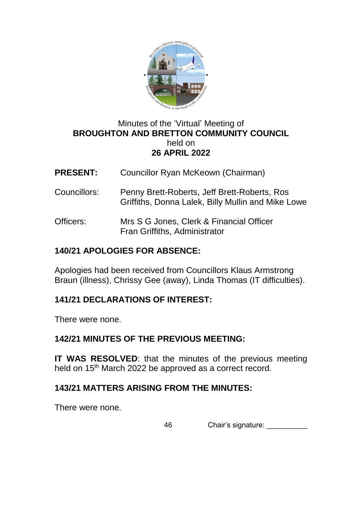

## Minutes of the 'Virtual' Meeting of **BROUGHTON AND BRETTON COMMUNITY COUNCIL**  held on **26 APRIL 2022**

- **PRESENT:** Councillor Ryan McKeown (Chairman)
- Councillors: Penny Brett-Roberts, Jeff Brett-Roberts, Ros Griffiths, Donna Lalek, Billy Mullin and Mike Lowe
- Officers: Mrs S G Jones, Clerk & Financial Officer Fran Griffiths, Administrator

## **140/21 APOLOGIES FOR ABSENCE:**

Apologies had been received from Councillors Klaus Armstrong Braun (illness), Chrissy Gee (away), Linda Thomas (IT difficulties).

### **141/21 DECLARATIONS OF INTEREST:**

There were none.

### **142/21 MINUTES OF THE PREVIOUS MEETING:**

**IT WAS RESOLVED:** that the minutes of the previous meeting held on 15<sup>th</sup> March 2022 be approved as a correct record.

### **143/21 MATTERS ARISING FROM THE MINUTES:**

There were none.

46 Chair's signature: Chair's and Chair's signature: